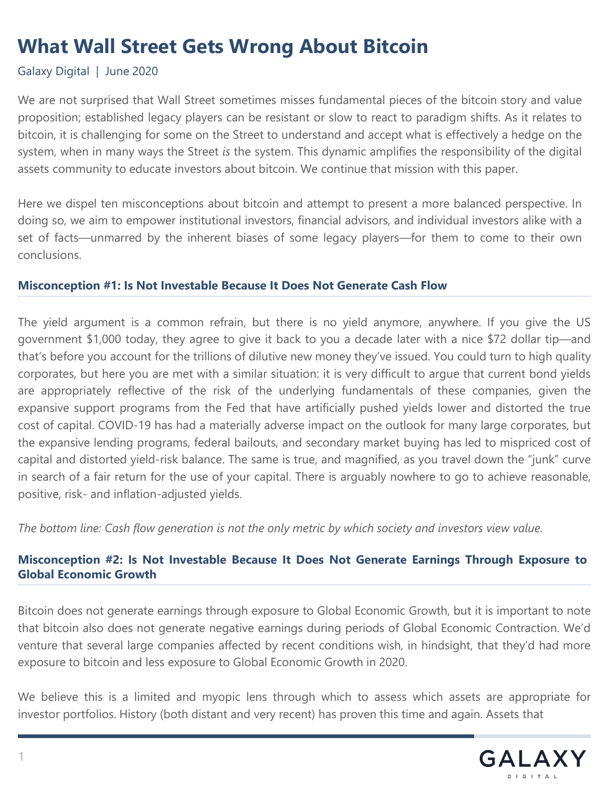# **What Wall Street Gets Wrong About Bitcoin**

# Galaxy Digital | June 2020

We are not surprised that Wall Street sometimes misses fundamental pieces of the bitcoin story and value proposition; established legacy players can be resistant or slow to react to paradigm shifts. As it relates to bitcoin, it is challenging for some on the Street to understand and accept what is effectively a hedge on the system, when in many ways the Street *is* the system. This dynamic amplifies the responsibility of the digital assets community to educate investors about bitcoin. We continue that mission with this paper.

Here we dispel ten misconceptions about bitcoin and attempt to present a more balanced perspective. In doing so, we aim to empower institutional investors, financial advisors, and individual investors alike with a set of facts—unmarred by the inherent biases of some legacy players—for them to come to their own conclusions.

### **Misconception #1: Is Not Investable Because It Does Not Generate Cash Flow**

The yield argument is a common refrain, but there is no yield anymore, anywhere. If you give the US government \$1,000 today, they agree to give it back to you a decade later with a nice \$72 dollar tip—and that's before you account for the trillions of dilutive new money they've issued. You could turn to high quality corporates, but here you are met with a similar situation: it is very difficult to argue that current bond yields are appropriately reflective of the risk of the underlying fundamentals of these companies, given the expansive support programs from the Fed that have artificially pushed yields lower and distorted the true cost of capital. COVID-19 has had a materially adverse impact on the outlook for many large corporates, but the expansive lending programs, federal bailouts, and secondary market buying has led to mispriced cost of capital and distorted yield-risk balance. The same is true, and magnified, as you travel down the "junk" curve in search of a fair return for the use of your capital. There is arguably nowhere to go to achieve reasonable, positive, risk- and inflation-adjusted yields.

The bottom line: Cash flow generation is not the only metric by which society and investors view value.

# **Misconception #2: Is Not Investable Because It Does Not Generate Earnings Through Exposure to Global Economic Growth**

Bitcoin does not generate earnings through exposure to Global Economic Growth, but it is important to note that bitcoin also does not generate negative earnings during periods of Global Economic Contraction. We'd venture that several large companies affected by recent conditions wish, in hindsight, that they'd had more exposure to bitcoin and less exposure to Global Economic Growth in 2020.

We believe this is a limited and myopic lens through which to assess which assets are appropriate for investor portfolios. History (both distant and very recent) has proven this time and again. Assets that

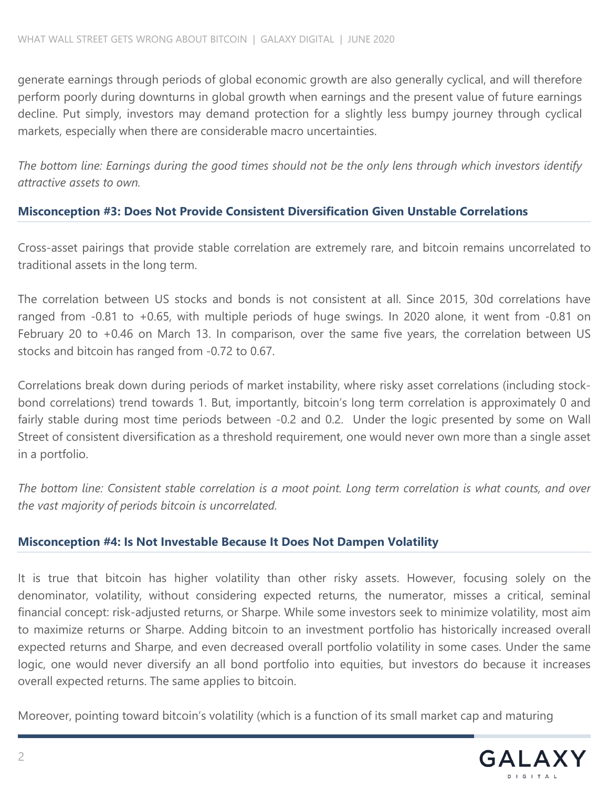generate earnings through periods of global economic growth are also generally cyclical, and will therefore perform poorly during downturns in global growth when earnings and the present value of future earnings decline. Put simply, investors may demand protection for a slightly less bumpy journey through cyclical markets, especially when there are considerable macro uncertainties.

The bottom line: Earnings during the good times should not be the only lens through which investors identify *attractive assets to own.*

# **Misconception #3: Does Not Provide Consistent Diversification Given Unstable Correlations**

Cross-asset pairings that provide stable correlation are extremely rare, and bitcoin remains uncorrelated to traditional assets in the long term.

The correlation between US stocks and bonds is not consistent at all. Since 2015, 30d correlations have ranged from -0.81 to +0.65, with multiple periods of huge swings. In 2020 alone, it went from -0.81 on February 20 to +0.46 on March 13. In comparison, over the same five years, the correlation between US stocks and bitcoin has ranged from -0.72 to 0.67.

Correlations break down during periods of market instability, where risky asset correlations (including stockbond correlations) trend towards 1. But, importantly, bitcoin's long term correlation is approximately 0 and fairly stable during most time periods between -0.2 and 0.2. Under the logic presented by some on Wall Street of consistent diversification as a threshold requirement, one would never own more than a single asset in a portfolio.

The bottom line: Consistent stable correlation is a moot point. Long term correlation is what counts, and over *the vast majority of periods bitcoin is uncorrelated.*

### **Misconception #4: Is Not Investable Because It Does Not Dampen Volatility**

It is true that bitcoin has higher volatility than other risky assets. However, focusing solely on the denominator, volatility, without considering expected returns, the numerator, misses a critical, seminal financial concept: risk-adjusted returns, or Sharpe. While some investors seek to minimize volatility, most aim to maximize returns or Sharpe. Adding bitcoin to an investment portfolio has historically increased overall expected returns and Sharpe, and even decreased overall portfolio volatility in some cases. Under the same logic, one would never diversify an all bond portfolio into equities, but investors do because it increases overall expected returns. The same applies to bitcoin.

Moreover, pointing toward bitcoin's volatility (which is a function of its small market cap and maturing

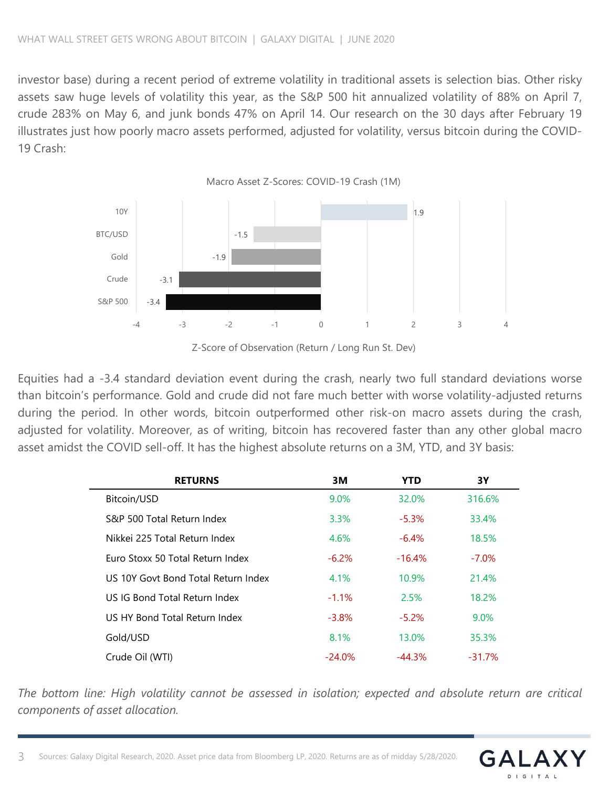investor base) during a recent period of extreme volatility in traditional assets is selection bias. Other risky assets saw huge levels of volatility this year, as the S&P 500 hit annualized volatility of 88% on April 7, crude 283% on May 6, and junk bonds 47% on April 14. Our research on the 30 days after February 19 illustrates just how poorly macro assets performed, adjusted for volatility, versus bitcoin during the COVID-19 Crash:



Z-Score of Observation (Return / Long Run St. Dev)

Equities had a -3.4 standard deviation event during the crash, nearly two full standard deviations worse than bitcoin's performance. Gold and crude did not fare much better with worse volatility-adjusted returns during the period. In other words, bitcoin outperformed other risk-on macro assets during the crash, adjusted for volatility. Moreover, as of writing, bitcoin has recovered faster than any other global macro asset amidst the COVID sell-off. It has the highest absolute returns on a 3M, YTD, and 3Y basis:

| <b>RETURNS</b>                      | 3M        | YTD       | 3Υ        |
|-------------------------------------|-----------|-----------|-----------|
| Bitcoin/USD                         | $9.0\%$   | 32.0%     | 316.6%    |
| S&P 500 Total Return Index          | $3.3\%$   | $-5.3%$   | 33.4%     |
| Nikkei 225 Total Return Index       | 4.6%      | $-6.4\%$  | 18.5%     |
| Furo Stoxx 50 Total Return Index    | $-6.2\%$  | $-16.4\%$ | $-7.0\%$  |
| US 10Y Govt Bond Total Return Index | 4.1%      | 10.9%     | 21.4%     |
| US IG Bond Total Return Index       | $-1.1\%$  | 2.5%      | 18.2%     |
| U.S. HY Bond Total Return Index     | $-3.8%$   | $-5.2%$   | 9.0%      |
| Gold/USD                            | 8.1%      | 13.0%     | 35.3%     |
| Crude Oil (WTI)                     | $-24.0\%$ | $-44.3\%$ | $-31.7\%$ |

*The bottom line: High volatility cannot be assessed in isolation; expected and absolute return are critical components of asset allocation.*

 $G \Delta$ 

DIGITA

3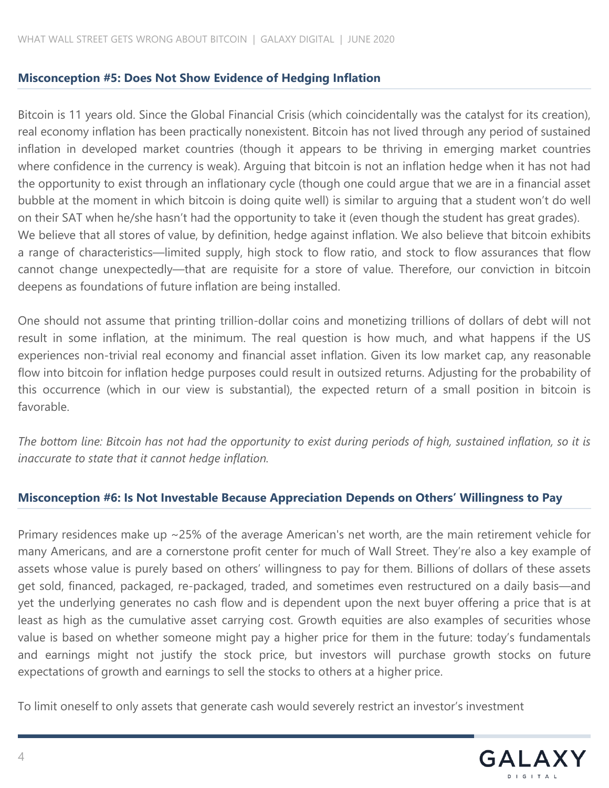### **Misconception #5: Does Not Show Evidence of Hedging Inflation**

Bitcoin is 11 years old. Since the Global Financial Crisis (which coincidentally was the catalyst for its creation), real economy inflation has been practically nonexistent. Bitcoin has not lived through any period of sustained inflation in developed market countries (though it appears to be thriving in emerging market countries where confidence in the currency is weak). Arguing that bitcoin is not an inflation hedge when it has not had the opportunity to exist through an inflationary cycle (though one could argue that we are in a financial asset bubble at the moment in which bitcoin is doing quite well) is similar to arguing that a student won't do well on their SAT when he/she hasn't had the opportunity to take it (even though the student has great grades). We believe that all stores of value, by definition, hedge against inflation. We also believe that bitcoin exhibits a range of characteristics—limited supply, high stock to flow ratio, and stock to flow assurances that flow cannot change unexpectedly—that are requisite for a store of value. Therefore, our conviction in bitcoin deepens as foundations of future inflation are being installed.

One should not assume that printing trillion-dollar coins and monetizing trillions of dollars of debt will not result in some inflation, at the minimum. The real question is how much, and what happens if the US experiences non-trivial real economy and financial asset inflation. Given its low market cap, any reasonable flow into bitcoin for inflation hedge purposes could result in outsized returns. Adjusting for the probability of this occurrence (which in our view is substantial), the expected return of a small position in bitcoin is favorable.

The bottom line: Bitcoin has not had the opportunity to exist during periods of high, sustained inflation, so it is *inaccurate to state that it cannot hedge inflation.*

### **Misconception #6: Is Not Investable Because Appreciation Depends on Others' Willingness to Pay**

Primary residences make up ~25% of the average American's net worth, are the main retirement vehicle for many Americans, and are a cornerstone profit center for much of Wall Street. They're also a key example of assets whose value is purely based on others' willingness to pay for them. Billions of dollars of these assets get sold, financed, packaged, re-packaged, traded, and sometimes even restructured on a daily basis—and yet the underlying generates no cash flow and is dependent upon the next buyer offering a price that is at least as high as the cumulative asset carrying cost. Growth equities are also examples of securities whose value is based on whether someone might pay a higher price for them in the future: today's fundamentals and earnings might not justify the stock price, but investors will purchase growth stocks on future expectations of growth and earnings to sell the stocks to others at a higher price.

To limit oneself to only assets that generate cash would severely restrict an investor's investment

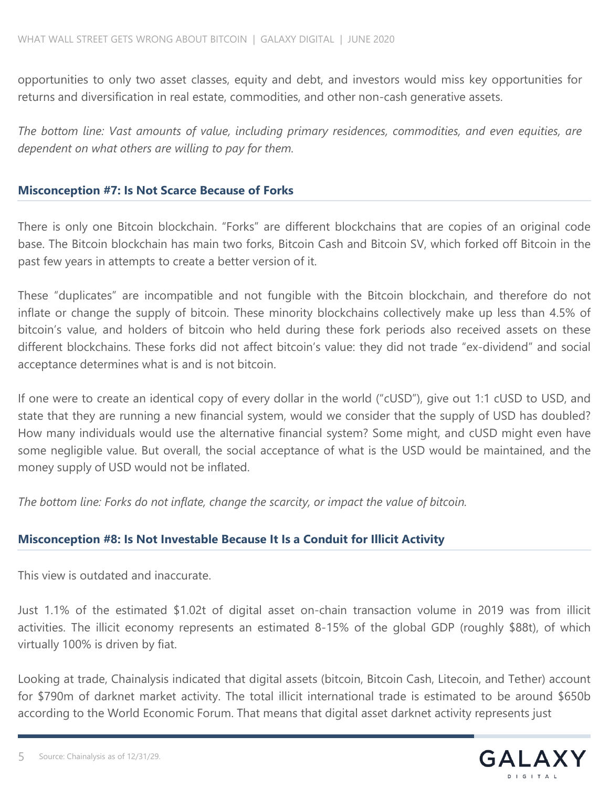opportunities to only two asset classes, equity and debt, and investors would miss key opportunities for returns and diversification in real estate, commodities, and other non-cash generative assets.

*The bottom line: Vast amounts of value, including primary residences, commodities, and even equities, are dependent on what others are willing to pay for them.*

#### **Misconception #7: Is Not Scarce Because of Forks**

There is only one Bitcoin blockchain. "Forks" are different blockchains that are copies of an original code base. The Bitcoin blockchain has main two forks, Bitcoin Cash and Bitcoin SV, which forked off Bitcoin in the past few years in attempts to create a better version of it.

These "duplicates" are incompatible and not fungible with the Bitcoin blockchain, and therefore do not inflate or change the supply of bitcoin. These minority blockchains collectively make up less than 4.5% of bitcoin's value, and holders of bitcoin who held during these fork periods also received assets on these different blockchains. These forks did not affect bitcoin's value: they did not trade "ex-dividend" and social acceptance determines what is and is not bitcoin.

If one were to create an identical copy of every dollar in the world ("cUSD"), give out 1:1 cUSD to USD, and state that they are running a new financial system, would we consider that the supply of USD has doubled? How many individuals would use the alternative financial system? Some might, and cUSD might even have some negligible value. But overall, the social acceptance of what is the USD would be maintained, and the money supply of USD would not be inflated.

*The bottom line: Forks do not inflate, change the scarcity, or impact the value of bitcoin.*

### **Misconception #8: Is Not Investable Because It Is a Conduit for Illicit Activity**

This view is outdated and inaccurate.

Just 1.1% of the estimated \$1.02t of digital asset on-chain transaction volume in 2019 was from illicit activities. The illicit economy represents an estimated 8-15% of the global GDP (roughly \$88t), of which virtually 100% is driven by fiat.

Looking at trade, Chainalysis indicated that digital assets (bitcoin, Bitcoin Cash, Litecoin, and Tether) account for \$790m of darknet market activity. The total illicit international trade is estimated to be around \$650b according to the World Economic Forum. That means that digital asset darknet activity represents just

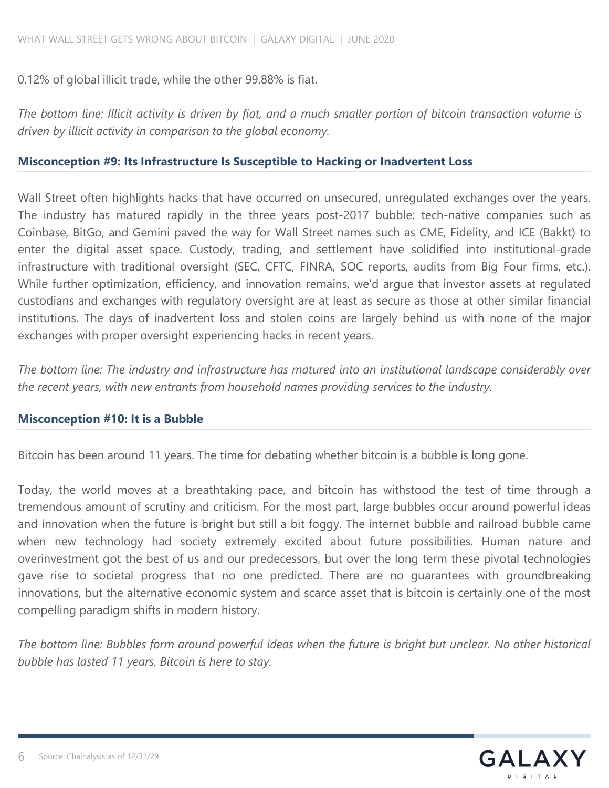0.12% of global illicit trade, while the other 99.88% is fiat.

The bottom line: Illicit activity is driven by fiat, and a much smaller portion of bitcoin transaction volume is *driven by illicit activity in comparison to the global economy.*

#### **Misconception #9: Its Infrastructure Is Susceptible to Hacking or Inadvertent Loss**

Wall Street often highlights hacks that have occurred on unsecured, unregulated exchanges over the years. The industry has matured rapidly in the three years post-2017 bubble: tech-native companies such as Coinbase, BitGo, and Gemini paved the way for Wall Street names such as CME, Fidelity, and ICE (Bakkt) to enter the digital asset space. Custody, trading, and settlement have solidified into institutional-grade infrastructure with traditional oversight (SEC, CFTC, FINRA, SOC reports, audits from Big Four firms, etc.). While further optimization, efficiency, and innovation remains, we'd argue that investor assets at regulated custodians and exchanges with regulatory oversight are at least as secure as those at other similar financial institutions. The days of inadvertent loss and stolen coins are largely behind us with none of the major exchanges with proper oversight experiencing hacks in recent years.

*The bottom line: The industry and infrastructure has matured into an institutional landscape considerably over the recent years, with new entrants from household names providing services to the industry.*

#### **Misconception #10: It is a Bubble**

Bitcoin has been around 11 years. The time for debating whether bitcoin is a bubble is long gone.

Today, the world moves at a breathtaking pace, and bitcoin has withstood the test of time through a tremendous amount of scrutiny and criticism. For the most part, large bubbles occur around powerful ideas and innovation when the future is bright but still a bit foggy. The internet bubble and railroad bubble came when new technology had society extremely excited about future possibilities. Human nature and overinvestment got the best of us and our predecessors, but over the long term these pivotal technologies gave rise to societal progress that no one predicted. There are no guarantees with groundbreaking innovations, but the alternative economic system and scarce asset that is bitcoin is certainly one of the most compelling paradigm shifts in modern history.

The bottom line: Bubbles form around powerful ideas when the future is bright but unclear. No other historical *bubble has lasted 11 years. Bitcoin is here to stay.*

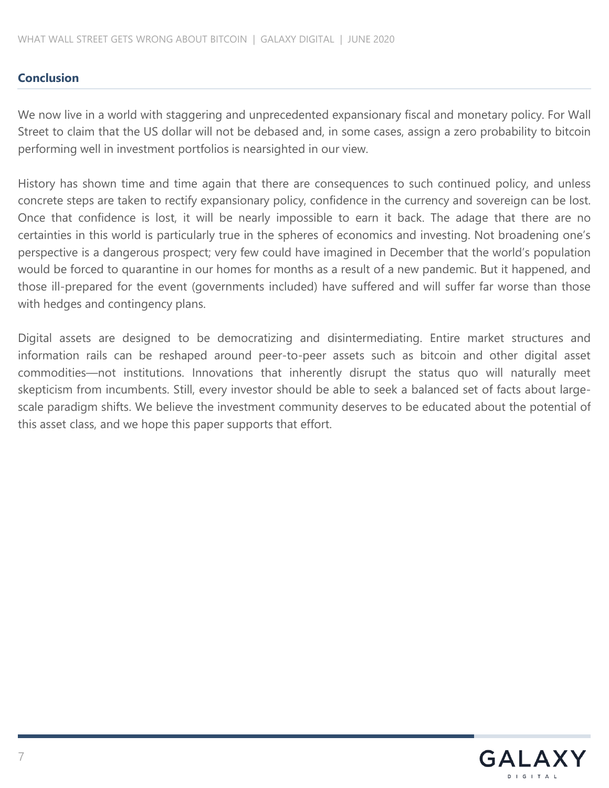# **Conclusion**

We now live in a world with staggering and unprecedented expansionary fiscal and monetary policy. For Wall Street to claim that the US dollar will not be debased and, in some cases, assign a zero probability to bitcoin performing well in investment portfolios is nearsighted in our view.

History has shown time and time again that there are consequences to such continued policy, and unless concrete steps are taken to rectify expansionary policy, confidence in the currency and sovereign can be lost. Once that confidence is lost, it will be nearly impossible to earn it back. The adage that there are no certainties in this world is particularly true in the spheres of economics and investing. Not broadening one's perspective is a dangerous prospect; very few could have imagined in December that the world's population would be forced to quarantine in our homes for months as a result of a new pandemic. But it happened, and those ill-prepared for the event (governments included) have suffered and will suffer far worse than those with hedges and contingency plans.

Digital assets are designed to be democratizing and disintermediating. Entire market structures and information rails can be reshaped around peer-to-peer assets such as bitcoin and other digital asset commodities—not institutions. Innovations that inherently disrupt the status quo will naturally meet skepticism from incumbents. Still, every investor should be able to seek a balanced set of facts about largescale paradigm shifts. We believe the investment community deserves to be educated about the potential of this asset class, and we hope this paper supports that effort.